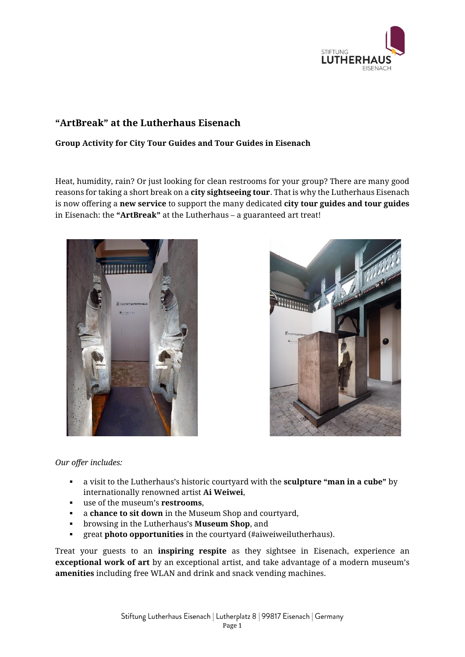

## **"ArtBreak" at the Lutherhaus Eisenach**

## **Group Activity for City Tour Guides and Tour Guides in Eisenach**

Heat, humidity, rain? Or just looking for clean restrooms for your group? There are many good reasons for taking a short break on a **city sightseeing tour**. That is why the Lutherhaus Eisenach is now offering a **new service** to support the many dedicated **city tour guides and tour guides**  in Eisenach: the **"ArtBreak"** at the Lutherhaus – a guaranteed art treat!





## *Our offer includes:*

- a visit to the Lutherhaus's historic courtyard with the **sculpture "man in a cube"** by internationally renowned artist **Ai Weiwei**,
- use of the museum's **restrooms**,
- a **chance to sit down** in the Museum Shop and courtyard,
- browsing in the Lutherhaus's **Museum Shop**, and
- great **photo opportunities** in the courtyard (#aiweiweilutherhaus).

Treat your guests to an **inspiring respite** as they sightsee in Eisenach, experience an **exceptional work of art** by an exceptional artist, and take advantage of a modern museum's **amenities** including free WLAN and drink and snack vending machines.